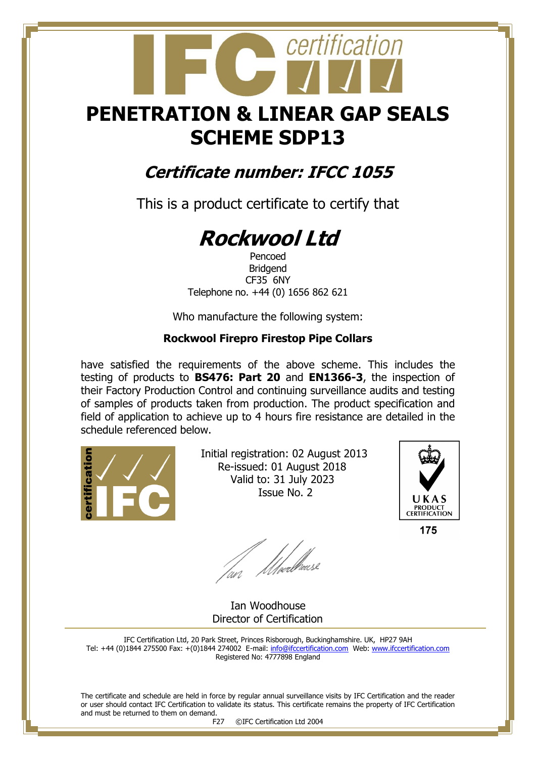## **PENETRATION & LINEAR GAP SEALS SCHEME SDP13**

certification

### **Certificate number: IFCC 1055**

This is a product certificate to certify that

# **Rockwool Ltd**

Pencoed Bridgend CF35 6NY Telephone no. +44 (0) 1656 862 621

Who manufacture the following system:

#### **Rockwool Firepro Firestop Pipe Collars**

have satisfied the requirements of the above scheme. This includes the testing of products to **BS476: Part 20** and **EN1366-3**, the inspection of their Factory Production Control and continuing surveillance audits and testing of samples of products taken from production. The product specification and field of application to achieve up to 4 hours fire resistance are detailed in the schedule referenced below.



 Initial registration: 02 August 2013 Re-issued: 01 August 2018 Valid to: 31 July 2023 Issue No. 2



175

fan Moedhouse

 Ian Woodhouse Director of Certification

IFC Certification Ltd, 20 Park Street, Princes Risborough, Buckinghamshire. UK, HP27 9AH Tel: +44 (0)1844 275500 Fax: +(0)1844 274002 E-mail[: info@ifccertification.com](mailto:info@ifccertification.com) Web: [www.ifccertification.com](http://www.ifccertification.com/) Registered No: 4777898 England

The certificate and schedule are held in force by regular annual surveillance visits by IFC Certification and the reader or user should contact IFC Certification to validate its status. This certificate remains the property of IFC Certification and must be returned to them on demand.